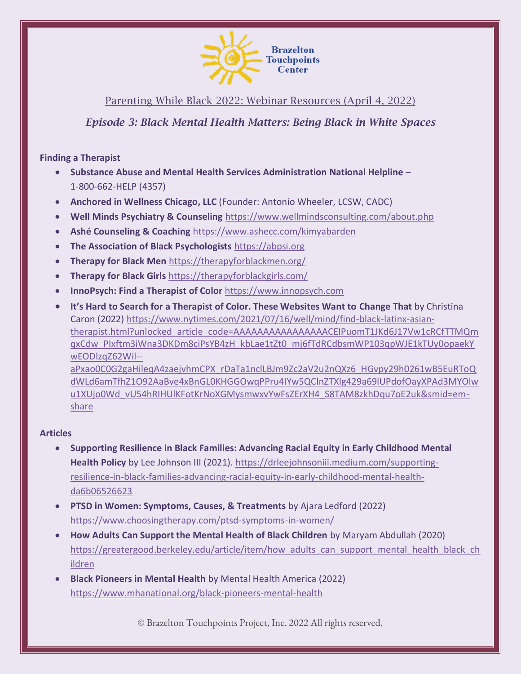

Parenting While Black 2022: Webinar Resources (April 4, 2022)

*Episode 3: Black Mental Health Matters: Being Black in White Spaces*

**Finding a Therapist**

- **Substance Abuse and Mental Health Services Administration National Helpline**  1-800-662-HELP (4357)
- **Anchored in Wellness Chicago, LLC** (Founder: Antonio Wheeler, LCSW, CADC)
- **Well Minds Psychiatry & Counseling** <https://www.wellmindsconsulting.com/about.php>
- **Ashé Counseling & Coaching** <https://www.ashecc.com/kimyabarden>
- **The Association of Black Psychologists** [https://abpsi.org](https://abpsi.org/)
- **Therapy for Black Men** <https://therapyforblackmen.org/>
- **Therapy for Black Girls** <https://therapyforblackgirls.com/>
- **InnoPsych: Find a Therapist of Color** [https://www.innopsych.com](https://www.innopsych.com/)
- **It's Hard to Search for a Therapist of Color. These Websites Want to Change That** by Christina Caron (2022) [https://www.nytimes.com/2021/07/16/well/mind/find-black-latinx-asian](https://urldefense.com/v3/__https:/www.nytimes.com/2021/07/16/well/mind/find-black-latinx-asian-therapist.html?unlocked_article_code=AAAAAAAAAAAAAAAACEIPuomT1JKd6J17Vw1cRCfTTMQmqxCdw_PIxftm3iWna3DKDm8ciPsYB4zH_kbLae1tZt0_mj6fTdRCdbsmWP103qpWJE1kTUy0opaekYwEODlzqZ62Wil--aPxao0C0G2gaHileqA4zaejvhmCPX_rDaTa1nclLBJm9Zc2aV2u2nQXz6_HGvpy29h0261wB5EuRToQdWLd6amTfhZ1O92AaBve4xBnGL0KHGGOwqPPru4IYw5QClnZTXlg429a69lUPdofOayXPAd3MYOlwu1XUjo0Wd_vU54hRIHUlKFotKrNoXGMysmwxvYwFsZErXH4_S8TAM8zkhDqu7oE2uk&smid=em-share__;!!IrdRlI43zQ!OfNjZzadplhFomloTg8JMkm4WQcdTUCgtE8Q_z9aT2wEJbhmx4EugDm4PqY94aL6-8Apv3et1dA$)[therapist.html?unlocked\\_article\\_code=AAAAAAAAAAAAAAAACEIPuomT1JKd6J17Vw1cRCfTTMQm](https://urldefense.com/v3/__https:/www.nytimes.com/2021/07/16/well/mind/find-black-latinx-asian-therapist.html?unlocked_article_code=AAAAAAAAAAAAAAAACEIPuomT1JKd6J17Vw1cRCfTTMQmqxCdw_PIxftm3iWna3DKDm8ciPsYB4zH_kbLae1tZt0_mj6fTdRCdbsmWP103qpWJE1kTUy0opaekYwEODlzqZ62Wil--aPxao0C0G2gaHileqA4zaejvhmCPX_rDaTa1nclLBJm9Zc2aV2u2nQXz6_HGvpy29h0261wB5EuRToQdWLd6amTfhZ1O92AaBve4xBnGL0KHGGOwqPPru4IYw5QClnZTXlg429a69lUPdofOayXPAd3MYOlwu1XUjo0Wd_vU54hRIHUlKFotKrNoXGMysmwxvYwFsZErXH4_S8TAM8zkhDqu7oE2uk&smid=em-share__;!!IrdRlI43zQ!OfNjZzadplhFomloTg8JMkm4WQcdTUCgtE8Q_z9aT2wEJbhmx4EugDm4PqY94aL6-8Apv3et1dA$) [qxCdw\\_PIxftm3iWna3DKDm8ciPsYB4zH\\_kbLae1tZt0\\_mj6fTdRCdbsmWP103qpWJE1kTUy0opaekY](https://urldefense.com/v3/__https:/www.nytimes.com/2021/07/16/well/mind/find-black-latinx-asian-therapist.html?unlocked_article_code=AAAAAAAAAAAAAAAACEIPuomT1JKd6J17Vw1cRCfTTMQmqxCdw_PIxftm3iWna3DKDm8ciPsYB4zH_kbLae1tZt0_mj6fTdRCdbsmWP103qpWJE1kTUy0opaekYwEODlzqZ62Wil--aPxao0C0G2gaHileqA4zaejvhmCPX_rDaTa1nclLBJm9Zc2aV2u2nQXz6_HGvpy29h0261wB5EuRToQdWLd6amTfhZ1O92AaBve4xBnGL0KHGGOwqPPru4IYw5QClnZTXlg429a69lUPdofOayXPAd3MYOlwu1XUjo0Wd_vU54hRIHUlKFotKrNoXGMysmwxvYwFsZErXH4_S8TAM8zkhDqu7oE2uk&smid=em-share__;!!IrdRlI43zQ!OfNjZzadplhFomloTg8JMkm4WQcdTUCgtE8Q_z9aT2wEJbhmx4EugDm4PqY94aL6-8Apv3et1dA$) [wEODlzqZ62Wil-](https://urldefense.com/v3/__https:/www.nytimes.com/2021/07/16/well/mind/find-black-latinx-asian-therapist.html?unlocked_article_code=AAAAAAAAAAAAAAAACEIPuomT1JKd6J17Vw1cRCfTTMQmqxCdw_PIxftm3iWna3DKDm8ciPsYB4zH_kbLae1tZt0_mj6fTdRCdbsmWP103qpWJE1kTUy0opaekYwEODlzqZ62Wil--aPxao0C0G2gaHileqA4zaejvhmCPX_rDaTa1nclLBJm9Zc2aV2u2nQXz6_HGvpy29h0261wB5EuRToQdWLd6amTfhZ1O92AaBve4xBnGL0KHGGOwqPPru4IYw5QClnZTXlg429a69lUPdofOayXPAd3MYOlwu1XUjo0Wd_vU54hRIHUlKFotKrNoXGMysmwxvYwFsZErXH4_S8TAM8zkhDqu7oE2uk&smid=em-share__;!!IrdRlI43zQ!OfNjZzadplhFomloTg8JMkm4WQcdTUCgtE8Q_z9aT2wEJbhmx4EugDm4PqY94aL6-8Apv3et1dA$) [aPxao0C0G2gaHileqA4zaejvhmCPX\\_rDaTa1nclLBJm9Zc2aV2u2nQXz6\\_HGvpy29h0261wB5EuRToQ](https://urldefense.com/v3/__https:/www.nytimes.com/2021/07/16/well/mind/find-black-latinx-asian-therapist.html?unlocked_article_code=AAAAAAAAAAAAAAAACEIPuomT1JKd6J17Vw1cRCfTTMQmqxCdw_PIxftm3iWna3DKDm8ciPsYB4zH_kbLae1tZt0_mj6fTdRCdbsmWP103qpWJE1kTUy0opaekYwEODlzqZ62Wil--aPxao0C0G2gaHileqA4zaejvhmCPX_rDaTa1nclLBJm9Zc2aV2u2nQXz6_HGvpy29h0261wB5EuRToQdWLd6amTfhZ1O92AaBve4xBnGL0KHGGOwqPPru4IYw5QClnZTXlg429a69lUPdofOayXPAd3MYOlwu1XUjo0Wd_vU54hRIHUlKFotKrNoXGMysmwxvYwFsZErXH4_S8TAM8zkhDqu7oE2uk&smid=em-share__;!!IrdRlI43zQ!OfNjZzadplhFomloTg8JMkm4WQcdTUCgtE8Q_z9aT2wEJbhmx4EugDm4PqY94aL6-8Apv3et1dA$)

[dWLd6amTfhZ1O92AaBve4xBnGL0KHGGOwqPPru4IYw5QClnZTXlg429a69lUPdofOayXPAd3MYOlw](https://urldefense.com/v3/__https:/www.nytimes.com/2021/07/16/well/mind/find-black-latinx-asian-therapist.html?unlocked_article_code=AAAAAAAAAAAAAAAACEIPuomT1JKd6J17Vw1cRCfTTMQmqxCdw_PIxftm3iWna3DKDm8ciPsYB4zH_kbLae1tZt0_mj6fTdRCdbsmWP103qpWJE1kTUy0opaekYwEODlzqZ62Wil--aPxao0C0G2gaHileqA4zaejvhmCPX_rDaTa1nclLBJm9Zc2aV2u2nQXz6_HGvpy29h0261wB5EuRToQdWLd6amTfhZ1O92AaBve4xBnGL0KHGGOwqPPru4IYw5QClnZTXlg429a69lUPdofOayXPAd3MYOlwu1XUjo0Wd_vU54hRIHUlKFotKrNoXGMysmwxvYwFsZErXH4_S8TAM8zkhDqu7oE2uk&smid=em-share__;!!IrdRlI43zQ!OfNjZzadplhFomloTg8JMkm4WQcdTUCgtE8Q_z9aT2wEJbhmx4EugDm4PqY94aL6-8Apv3et1dA$) [u1XUjo0Wd\\_vU54hRIHUlKFotKrNoXGMysmwxvYwFsZErXH4\\_S8TAM8zkhDqu7oE2uk&smid=em](https://urldefense.com/v3/__https:/www.nytimes.com/2021/07/16/well/mind/find-black-latinx-asian-therapist.html?unlocked_article_code=AAAAAAAAAAAAAAAACEIPuomT1JKd6J17Vw1cRCfTTMQmqxCdw_PIxftm3iWna3DKDm8ciPsYB4zH_kbLae1tZt0_mj6fTdRCdbsmWP103qpWJE1kTUy0opaekYwEODlzqZ62Wil--aPxao0C0G2gaHileqA4zaejvhmCPX_rDaTa1nclLBJm9Zc2aV2u2nQXz6_HGvpy29h0261wB5EuRToQdWLd6amTfhZ1O92AaBve4xBnGL0KHGGOwqPPru4IYw5QClnZTXlg429a69lUPdofOayXPAd3MYOlwu1XUjo0Wd_vU54hRIHUlKFotKrNoXGMysmwxvYwFsZErXH4_S8TAM8zkhDqu7oE2uk&smid=em-share__;!!IrdRlI43zQ!OfNjZzadplhFomloTg8JMkm4WQcdTUCgtE8Q_z9aT2wEJbhmx4EugDm4PqY94aL6-8Apv3et1dA$)[share](https://urldefense.com/v3/__https:/www.nytimes.com/2021/07/16/well/mind/find-black-latinx-asian-therapist.html?unlocked_article_code=AAAAAAAAAAAAAAAACEIPuomT1JKd6J17Vw1cRCfTTMQmqxCdw_PIxftm3iWna3DKDm8ciPsYB4zH_kbLae1tZt0_mj6fTdRCdbsmWP103qpWJE1kTUy0opaekYwEODlzqZ62Wil--aPxao0C0G2gaHileqA4zaejvhmCPX_rDaTa1nclLBJm9Zc2aV2u2nQXz6_HGvpy29h0261wB5EuRToQdWLd6amTfhZ1O92AaBve4xBnGL0KHGGOwqPPru4IYw5QClnZTXlg429a69lUPdofOayXPAd3MYOlwu1XUjo0Wd_vU54hRIHUlKFotKrNoXGMysmwxvYwFsZErXH4_S8TAM8zkhDqu7oE2uk&smid=em-share__;!!IrdRlI43zQ!OfNjZzadplhFomloTg8JMkm4WQcdTUCgtE8Q_z9aT2wEJbhmx4EugDm4PqY94aL6-8Apv3et1dA$)

## **Articles**

- **Supporting Resilience in Black Families: Advancing Racial Equity in Early Childhood Mental**  Health Policy by Lee Johnson III (2021). [https://drleejohnsoniii.medium.com/supporting](https://drleejohnsoniii.medium.com/supporting-resilience-in-black-families-advancing-racial-equity-in-early-childhood-mental-health-da6b06526623)[resilience-in-black-families-advancing-racial-equity-in-early-childhood-mental-health](https://drleejohnsoniii.medium.com/supporting-resilience-in-black-families-advancing-racial-equity-in-early-childhood-mental-health-da6b06526623)[da6b06526623](https://drleejohnsoniii.medium.com/supporting-resilience-in-black-families-advancing-racial-equity-in-early-childhood-mental-health-da6b06526623)
- **PTSD in Women: Symptoms, Causes, & Treatments** by Ajara Ledford (2022) <https://www.choosingtherapy.com/ptsd-symptoms-in-women/>
- **How Adults Can Support the Mental Health of Black Children** by Maryam Abdullah (2020) [https://greatergood.berkeley.edu/article/item/how\\_adults\\_can\\_support\\_mental\\_health\\_black\\_ch](https://greatergood.berkeley.edu/article/item/how_adults_can_support_mental_health_black_children) [ildren](https://greatergood.berkeley.edu/article/item/how_adults_can_support_mental_health_black_children)
- **Black Pioneers in Mental Health** by Mental Health America (2022) <https://www.mhanational.org/black-pioneers-mental-health>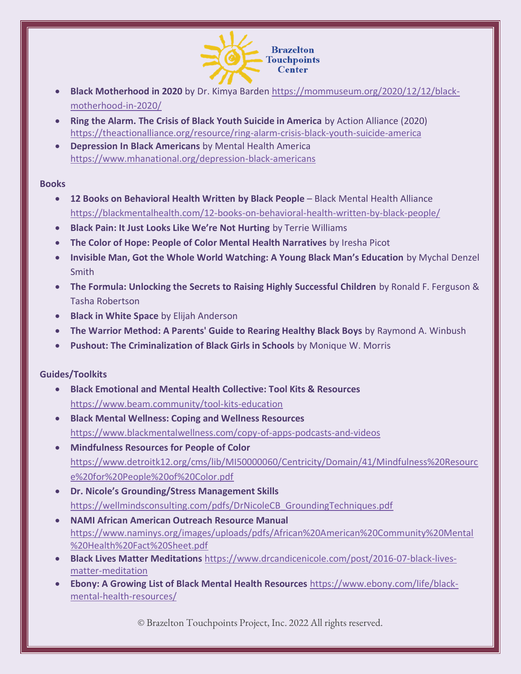

- **Black Motherhood in 2020** by Dr. Kimya Barden [https://mommuseum.org/2020/12/12/black](https://mommuseum.org/2020/12/12/black-motherhood-in-2020/)[motherhood-in-2020/](https://mommuseum.org/2020/12/12/black-motherhood-in-2020/)
- **Ring the Alarm. The Crisis of Black Youth Suicide in America** by Action Alliance (2020) <https://theactionalliance.org/resource/ring-alarm-crisis-black-youth-suicide-america>
- **Depression In Black Americans** by Mental Health America <https://www.mhanational.org/depression-black-americans>

#### **Books**

- **12 Books on Behavioral Health Written by Black People** Black Mental Health Alliance <https://blackmentalhealth.com/12-books-on-behavioral-health-written-by-black-people/>
- **Black Pain: It Just Looks Like We're Not Hurting** by Terrie Williams
- **The Color of Hope: People of Color Mental Health Narratives** by Iresha Picot
- **Invisible Man, Got the Whole World Watching: A Young Black Man's Education** by Mychal Denzel Smith
- **The Formula: Unlocking the Secrets to Raising Highly Successful Children** by Ronald F. Ferguson & Tasha Robertson
- **Black in White Space** by Elijah Anderson
- **The Warrior Method: A Parents' Guide to Rearing Healthy Black Boys** by Raymond A. Winbush
- **Pushout: The Criminalization of Black Girls in Schools** by Monique W. Morris

# **Guides/Toolkits**

- **Black Emotional and Mental Health Collective: Tool Kits & Resources**  <https://www.beam.community/tool-kits-education>
- **Black Mental Wellness: Coping and Wellness Resources**  <https://www.blackmentalwellness.com/copy-of-apps-podcasts-and-videos>
- **Mindfulness Resources for People of Color**  [https://www.detroitk12.org/cms/lib/MI50000060/Centricity/Domain/41/Mindfulness%20Resourc](https://www.detroitk12.org/cms/lib/MI50000060/Centricity/Domain/41/Mindfulness%20Resource%20for%20People%20of%20Color.pdf) [e%20for%20People%20of%20Color.pdf](https://www.detroitk12.org/cms/lib/MI50000060/Centricity/Domain/41/Mindfulness%20Resource%20for%20People%20of%20Color.pdf)
- **Dr. Nicole's Grounding/Stress Management Skills** [https://wellmindsconsulting.com/pdfs/DrNicoleCB\\_GroundingTechniques.pdf](https://wellmindsconsulting.com/pdfs/DrNicoleCB_GroundingTechniques.pdf)
- **NAMI African American Outreach Resource Manual**  [https://www.naminys.org/images/uploads/pdfs/African%20American%20Community%20Mental](https://www.naminys.org/images/uploads/pdfs/African%20American%20Community%20Mental%20Health%20Fact%20Sheet.pdf) [%20Health%20Fact%20Sheet.pdf](https://www.naminys.org/images/uploads/pdfs/African%20American%20Community%20Mental%20Health%20Fact%20Sheet.pdf)
- **Black Lives Matter Meditations** [https://www.drcandicenicole.com/post/2016-07-black-lives](https://www.drcandicenicole.com/post/2016-07-black-lives-matter-meditation)[matter-meditation](https://www.drcandicenicole.com/post/2016-07-black-lives-matter-meditation)
- **Ebony: A Growing List of Black Mental Health Resources** [https://www.ebony.com/life/black](https://www.ebony.com/life/black-mental-health-resources/)[mental-health-resources/](https://www.ebony.com/life/black-mental-health-resources/)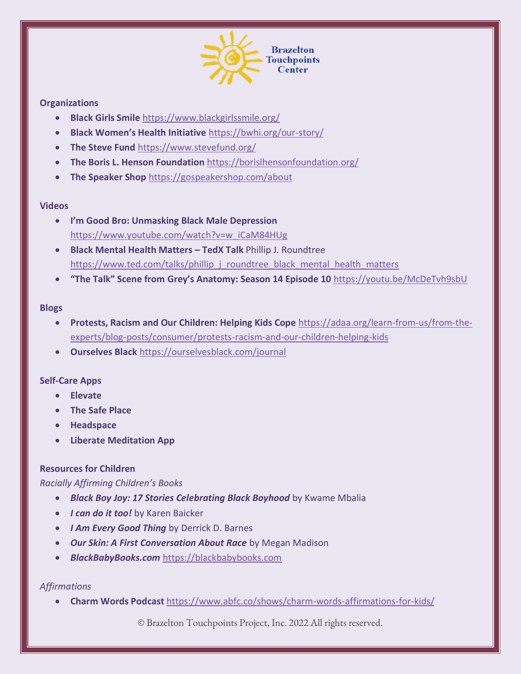

## **Organizations**

- **Black Girls Smile** <https://www.blackgirlssmile.org/>
- **Black Women's Health Initiative** <https://bwhi.org/our-story/>
- **The Steve Fund** <https://www.stevefund.org/>
- **The Boris L. Henson Foundation** <https://borislhensonfoundation.org/>
- **The Speaker Shop** <https://gospeakershop.com/about>

### **Videos**

- **I'm Good Bro: Unmasking Black Male Depression**  [https://www.youtube.com/watch?v=w\\_iCaM84HUg](https://www.youtube.com/watch?v=w_iCaM84HUg)
- **Black Mental Health Matters – TedX Talk** Phillip J. Roundtree [https://www.ted.com/talks/phillip\\_j\\_roundtree\\_black\\_mental\\_health\\_matters](https://www.ted.com/talks/phillip_j_roundtree_black_mental_health_matters)
- **"The Talk" Scene from Grey's Anatomy: Season 14 Episode 10** <https://youtu.be/McDeTvh9sbU>

#### **Blogs**

- **Protests, Racism and Our Children: Helping Kids Cope** [https://adaa.org/learn-from-us/from-the](https://adaa.org/learn-from-us/from-the-experts/blog-posts/consumer/protests-racism-and-our-children-helping-kids)[experts/blog-posts/consumer/protests-racism-and-our-children-helping-kids](https://adaa.org/learn-from-us/from-the-experts/blog-posts/consumer/protests-racism-and-our-children-helping-kids)
- **Ourselves Black** <https://ourselvesblack.com/journal>

#### **Self-Care Apps**

- **Elevate**
- **The Safe Place**
- **Headspace**
- **Liberate Meditation App**

## **Resources for Children**

#### *Racially Affirming Children's Books*

- *Black Boy Joy: 17 Stories Celebrating Black Boyhood* by Kwame Mbalia
- *I can do it too!* by Karen Baicker
- *I Am Every Good Thing* by Derrick D. Barnes
- *Our Skin: A First Conversation About Race* by Megan Madison
- *BlackBabyBooks.com* [https://blackbabybooks.com](https://blackbabybooks.com/)

## *Affirmations*

• **Charm Words Podcast** https://www.abfc.co/shows/charm-words-affirmations-for-kids/